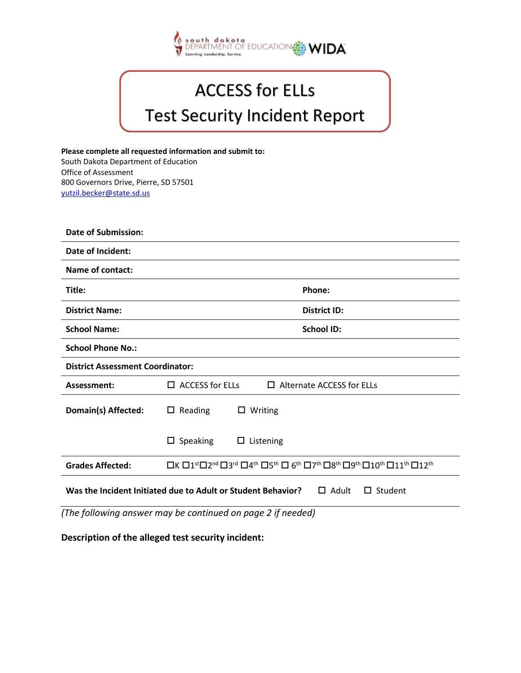

| <b>ACCESS for ELLs</b> |  |
|------------------------|--|
|------------------------|--|

## Test Security Incident Report

**Please complete all requested information and submit to:**<br>**Please complete all requested information and submit to:** South Dakota Department of Education Office of Assessment 800 Governors Drive, Pierre, SD 57501 [yutzil.becker@state.sd.us](mailto:osamail@dpi.wi.gov)

| <b>Date of Submission:</b>                                                                     |                                                                                                                                                                                                                    |  |
|------------------------------------------------------------------------------------------------|--------------------------------------------------------------------------------------------------------------------------------------------------------------------------------------------------------------------|--|
| Date of Incident:                                                                              |                                                                                                                                                                                                                    |  |
| Name of contact:                                                                               |                                                                                                                                                                                                                    |  |
| Title:                                                                                         | Phone:                                                                                                                                                                                                             |  |
| <b>District Name:</b>                                                                          | <b>District ID:</b>                                                                                                                                                                                                |  |
| <b>School Name:</b>                                                                            | <b>School ID:</b>                                                                                                                                                                                                  |  |
| <b>School Phone No.:</b>                                                                       |                                                                                                                                                                                                                    |  |
| <b>District Assessment Coordinator:</b>                                                        |                                                                                                                                                                                                                    |  |
| Assessment:                                                                                    | $\Box$ ACCESS for ELLs<br>$\Box$ Alternate ACCESS for ELLs                                                                                                                                                         |  |
| Domain(s) Affected:                                                                            | Reading<br>$\Box$ Writing<br>$\Box$                                                                                                                                                                                |  |
|                                                                                                | Speaking<br>$\Box$ Listening<br>ш                                                                                                                                                                                  |  |
| <b>Grades Affected:</b>                                                                        | □К □1 <sup>st</sup> □2 <sup>nd</sup> □3 <sup>rd</sup> □4 <sup>th</sup> □5 <sup>th</sup> □ 6 <sup>th</sup> □7 <sup>th</sup> □8 <sup>th</sup> □9 <sup>th</sup> □10 <sup>th</sup> □11 <sup>th</sup> □12 <sup>th</sup> |  |
| Was the Incident Initiated due to Adult or Student Behavior?<br>$\Box$ Adult<br>$\Box$ Student |                                                                                                                                                                                                                    |  |

*(The following answer may be continued on page 2 if needed)*

**Description of the alleged test security incident:**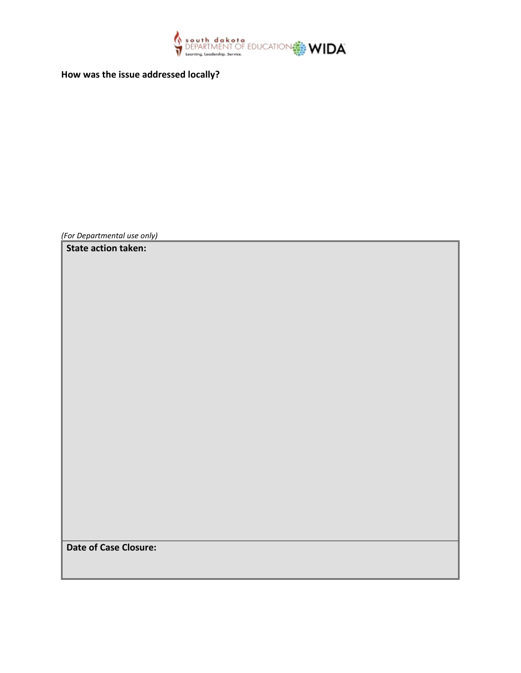

**How was the issue addressed locally?**

*(For Departmental use only)* 

**State action taken:**

**Date of Case Closure:**